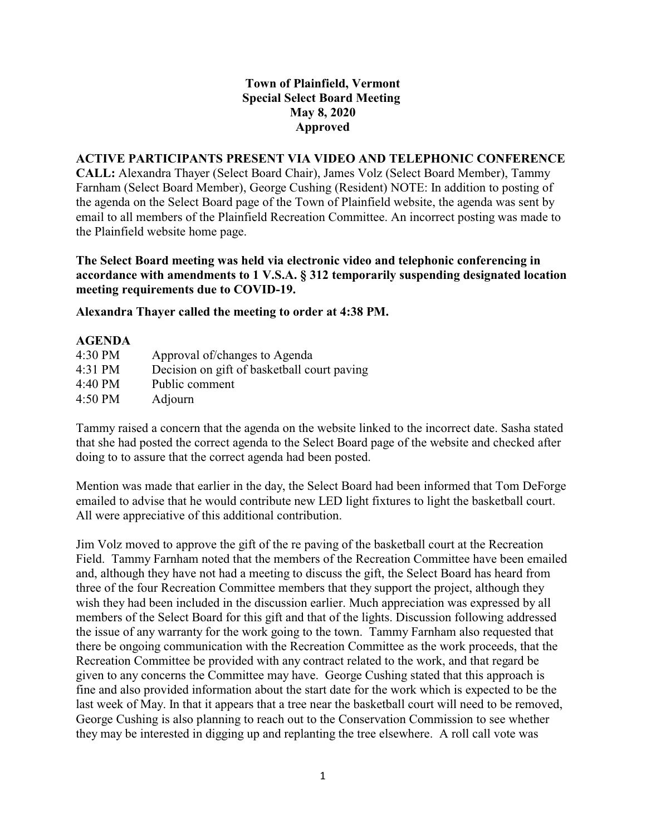## **Town of Plainfield, Vermont Special Select Board Meeting May 8, 2020 Approved**

## **ACTIVE PARTICIPANTS PRESENT VIA VIDEO AND TELEPHONIC CONFERENCE**

**CALL:** Alexandra Thayer (Select Board Chair), James Volz (Select Board Member), Tammy Farnham (Select Board Member), George Cushing (Resident) NOTE: In addition to posting of the agenda on the Select Board page of the Town of Plainfield website, the agenda was sent by email to all members of the Plainfield Recreation Committee. An incorrect posting was made to the Plainfield website home page.

**The Select Board meeting was held via electronic video and telephonic conferencing in accordance with amendments to 1 V.S.A. § 312 temporarily suspending designated location meeting requirements due to COVID-19.**

**Alexandra Thayer called the meeting to order at 4:38 PM.** 

## **AGENDA**

| 4:30 PM | Approval of/changes to Agenda               |
|---------|---------------------------------------------|
| 4:31 PM | Decision on gift of basketball court paving |
| 4:40 PM | Public comment                              |
| 4:50 PM | Adjourn                                     |

Tammy raised a concern that the agenda on the website linked to the incorrect date. Sasha stated that she had posted the correct agenda to the Select Board page of the website and checked after doing to to assure that the correct agenda had been posted.

Mention was made that earlier in the day, the Select Board had been informed that Tom DeForge emailed to advise that he would contribute new LED light fixtures to light the basketball court. All were appreciative of this additional contribution.

Jim Volz moved to approve the gift of the re paving of the basketball court at the Recreation Field. Tammy Farnham noted that the members of the Recreation Committee have been emailed and, although they have not had a meeting to discuss the gift, the Select Board has heard from three of the four Recreation Committee members that they support the project, although they wish they had been included in the discussion earlier. Much appreciation was expressed by all members of the Select Board for this gift and that of the lights. Discussion following addressed the issue of any warranty for the work going to the town. Tammy Farnham also requested that there be ongoing communication with the Recreation Committee as the work proceeds, that the Recreation Committee be provided with any contract related to the work, and that regard be given to any concerns the Committee may have. George Cushing stated that this approach is fine and also provided information about the start date for the work which is expected to be the last week of May. In that it appears that a tree near the basketball court will need to be removed, George Cushing is also planning to reach out to the Conservation Commission to see whether they may be interested in digging up and replanting the tree elsewhere. A roll call vote was